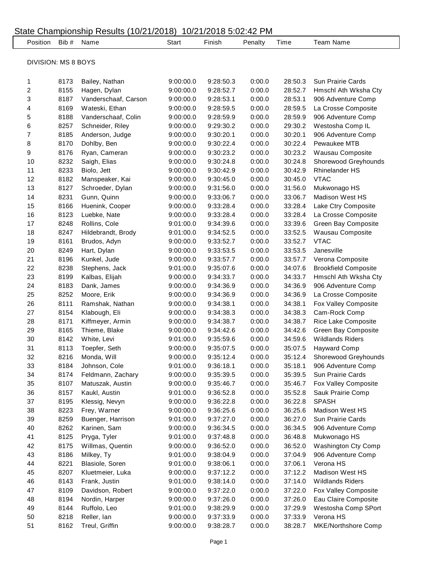| State Championship Results (10/21/2018) 10/21/2018 5:02:42 PM |                     |      |                      |           |           |         |         |                             |  |  |
|---------------------------------------------------------------|---------------------|------|----------------------|-----------|-----------|---------|---------|-----------------------------|--|--|
|                                                               | Position Bib #      |      | Name                 | Start     | Finish    | Penalty | Time    | <b>Team Name</b>            |  |  |
|                                                               |                     |      |                      |           |           |         |         |                             |  |  |
|                                                               | DIVISION: MS 8 BOYS |      |                      |           |           |         |         |                             |  |  |
|                                                               | 1                   | 8173 | Bailey, Nathan       | 9:00:00.0 | 9:28:50.3 | 0:00.0  | 28:50.3 | Sun Prairie Cards           |  |  |
|                                                               | 2                   | 8155 | Hagen, Dylan         | 9:00:00.0 | 9:28:52.7 | 0:00.0  | 28:52.7 | Hmschl Ath Wksha Cty        |  |  |
|                                                               | 3                   | 8187 | Vanderschaaf, Carson | 9:00:00.0 | 9:28:53.1 | 0:00.0  | 28:53.1 | 906 Adventure Comp          |  |  |
|                                                               | 4                   | 8169 | Wateski, Ethan       | 9:00:00.0 | 9:28:59.5 | 0:00.0  | 28:59.5 | La Crosse Composite         |  |  |
|                                                               | 5                   | 8188 | Vanderschaaf, Colin  | 9:00:00.0 | 9:28:59.9 | 0:00.0  | 28:59.9 | 906 Adventure Comp          |  |  |
|                                                               | 6                   | 8257 | Schneider, Riley     | 9:00:00.0 | 9:29:30.2 | 0:00.0  | 29:30.2 | Westosha Comp IL            |  |  |
|                                                               | 7                   | 8185 | Anderson, Judge      | 9:00:00.0 | 9:30:20.1 | 0:00.0  | 30:20.1 | 906 Adventure Comp          |  |  |
|                                                               | 8                   | 8170 | Dohlby, Ben          | 9:00:00.0 | 9:30:22.4 | 0:00.0  | 30:22.4 | Pewaukee MTB                |  |  |
|                                                               | 9                   | 8176 | Ryan, Cameran        | 9:00:00.0 | 9:30:23.2 | 0:00.0  | 30:23.2 | Wausau Composite            |  |  |
|                                                               | 10                  | 8232 | Saigh, Elias         | 9:00:00.0 | 9:30:24.8 | 0:00.0  | 30:24.8 | Shorewood Greyhounds        |  |  |
|                                                               | 11                  | 8233 | Biolo, Jett          | 9:00:00.0 | 9:30:42.9 | 0:00.0  | 30:42.9 | <b>Rhinelander HS</b>       |  |  |
|                                                               | 12                  | 8182 | Manspeaker, Kai      | 9:00:00.0 | 9:30:45.0 | 0:00.0  | 30:45.0 | <b>VTAC</b>                 |  |  |
|                                                               | 13                  | 8127 | Schroeder, Dylan     | 9:00:00.0 | 9:31:56.0 | 0:00.0  | 31:56.0 | Mukwonago HS                |  |  |
|                                                               | 14                  | 8231 | Gunn, Quinn          | 9:00:00.0 | 9:33:06.7 | 0:00.0  | 33:06.7 | <b>Madison West HS</b>      |  |  |
|                                                               | 15                  | 8166 | Huenink, Cooper      | 9:00:00.0 | 9:33:28.4 | 0:00.0  | 33:28.4 | Lake Ctry Composite         |  |  |
|                                                               | 16                  | 8123 | Luebke, Nate         | 9:00:00.0 | 9:33:28.4 | 0:00.0  | 33:28.4 | La Crosse Composite         |  |  |
|                                                               | 17                  | 8248 | Rollins, Cole        | 9:01:00.0 | 9:34:39.6 | 0:00.0  | 33:39.6 | Green Bay Composite         |  |  |
|                                                               | 18                  | 8247 | Hildebrandt, Brody   | 9:01:00.0 | 9:34:52.5 | 0:00.0  | 33:52.5 | Wausau Composite            |  |  |
|                                                               | 19                  | 8161 | Brudos, Adyn         | 9:00:00.0 | 9:33:52.7 | 0:00.0  | 33:52.7 | <b>VTAC</b>                 |  |  |
|                                                               | 20                  | 8249 | Hart, Dylan          | 9:00:00.0 | 9:33:53.5 | 0:00.0  | 33:53.5 | Janesville                  |  |  |
|                                                               | 21                  | 8196 | Kunkel, Jude         | 9:00:00.0 | 9:33:57.7 | 0:00.0  | 33:57.7 | Verona Composite            |  |  |
|                                                               | 22                  | 8238 | Stephens, Jack       | 9:01:00.0 | 9:35:07.6 | 0:00.0  | 34:07.6 | <b>Brookfield Composite</b> |  |  |
|                                                               | 23                  | 8199 | Kalbas, Elijah       | 9:00:00.0 | 9:34:33.7 | 0:00.0  | 34:33.7 | Hmschl Ath Wksha Cty        |  |  |
|                                                               | 24                  | 8183 | Dank, James          | 9:00:00.0 | 9:34:36.9 | 0:00.0  | 34:36.9 | 906 Adventure Comp          |  |  |
|                                                               | 25                  | 8252 | Moore, Erik          | 9:00:00.0 | 9:34:36.9 | 0:00.0  | 34:36.9 | La Crosse Composite         |  |  |
|                                                               | 26                  | 8111 | Ramshak, Nathan      | 9:00:00.0 | 9:34:38.1 | 0:00.0  | 34:38.1 | Fox Valley Composite        |  |  |
|                                                               | 27                  | 8154 | Klabough, Eli        | 9:00:00.0 | 9:34:38.3 | 0:00.0  | 34:38.3 | Cam-Rock Comp               |  |  |
|                                                               | 28                  | 8171 | Kiffmeyer, Armin     | 9:00:00.0 | 9:34:38.7 | 0:00.0  | 34:38.7 | Rice Lake Composite         |  |  |
|                                                               | 29                  | 8165 | Thieme, Blake        | 9:00:00.0 | 9:34:42.6 | 0:00.0  | 34:42.6 | Green Bay Composite         |  |  |
|                                                               | 30                  | 8142 | White, Levi          | 9:01:00.0 | 9:35:59.6 | 0:00.0  | 34:59.6 | <b>Wildlands Riders</b>     |  |  |
|                                                               | 31                  | 8113 | Toepfer, Seth        | 9:00:00.0 | 9:35:07.5 | 0:00.0  | 35:07.5 | <b>Hayward Comp</b>         |  |  |
|                                                               | 32                  | 8216 | Monda, Will          | 9:00:00.0 | 9:35:12.4 | 0:00.0  | 35:12.4 | Shorewood Greyhounds        |  |  |
|                                                               | 33                  | 8184 | Johnson, Cole        | 9:01:00.0 | 9:36:18.1 | 0:00.0  | 35:18.1 | 906 Adventure Comp          |  |  |
|                                                               | 34                  | 8174 | Feldmann, Zachary    | 9:00:00.0 | 9:35:39.5 | 0:00.0  | 35:39.5 | Sun Prairie Cards           |  |  |
|                                                               | 35                  | 8107 | Matuszak, Austin     | 9:00:00.0 | 9:35:46.7 | 0:00.0  | 35:46.7 | Fox Valley Composite        |  |  |
|                                                               | 36                  | 8157 | Kaukl, Austin        | 9:01:00.0 | 9:36:52.8 | 0:00.0  | 35:52.8 | Sauk Prairie Comp           |  |  |
|                                                               | 37                  | 8195 | Klessig, Nevyn       | 9:00:00.0 | 9:36:22.8 | 0:00.0  | 36:22.8 | <b>SPASH</b>                |  |  |
|                                                               | 38                  | 8223 | Frey, Warner         | 9:00:00.0 | 9:36:25.6 | 0:00.0  | 36:25.6 | Madison West HS             |  |  |
|                                                               | 39                  | 8259 | Buenger, Harrison    | 9:01:00.0 | 9:37:27.0 | 0:00.0  | 36:27.0 | Sun Prairie Cards           |  |  |
|                                                               | 40                  | 8262 | Karinen, Sam         | 9:00:00.0 | 9:36:34.5 | 0:00.0  | 36:34.5 | 906 Adventure Comp          |  |  |
|                                                               | 41                  | 8125 | Pryga, Tyler         | 9:01:00.0 | 9:37:48.8 | 0:00.0  | 36:48.8 | Mukwonago HS                |  |  |
|                                                               | 42                  | 8175 | Willmas, Quentin     | 9:00:00.0 | 9:36:52.0 | 0:00.0  | 36:52.0 | Washington Cty Comp         |  |  |
|                                                               | 43                  | 8186 | Milkey, Ty           | 9:01:00.0 | 9:38:04.9 | 0:00.0  | 37:04.9 | 906 Adventure Comp          |  |  |
|                                                               | 44                  | 8221 | Blasiole, Soren      | 9:01:00.0 | 9:38:06.1 | 0:00.0  | 37:06.1 | Verona HS                   |  |  |
|                                                               | 45                  | 8207 | Kluetmeier, Luka     | 9:00:00.0 | 9:37:12.2 | 0:00.0  | 37:12.2 | Madison West HS             |  |  |
|                                                               | 46                  | 8143 | Frank, Justin        | 9:01:00.0 | 9:38:14.0 | 0:00.0  | 37:14.0 | <b>Wildlands Riders</b>     |  |  |
|                                                               | 47                  | 8109 | Davidson, Robert     | 9:00:00.0 | 9:37:22.0 | 0:00.0  | 37:22.0 | Fox Valley Composite        |  |  |
|                                                               | 48                  | 8194 | Nordin, Harper       | 9:00:00.0 | 9:37:26.0 | 0:00.0  | 37:26.0 | Eau Claire Composite        |  |  |
|                                                               | 49                  | 8144 | Ruffolo, Leo         | 9:01:00.0 | 9:38:29.9 | 0:00.0  | 37:29.9 | Westosha Comp SPort         |  |  |
|                                                               | 50                  | 8218 | Reller, lan          | 9:00:00.0 | 9:37:33.9 | 0:00.0  | 37:33.9 | Verona HS                   |  |  |
|                                                               | 51                  | 8162 | Treul, Griffin       | 9:00:00.0 | 9:38:28.7 | 0:00.0  | 38:28.7 | MKE/Northshore Comp         |  |  |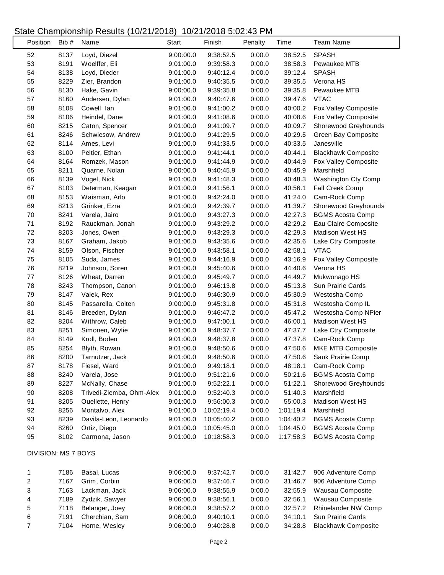$\lfloor$ 

| Position            | Bib # | Name                     | Start     | Finish     | Penalty | Time      | <b>Team Name</b>           |
|---------------------|-------|--------------------------|-----------|------------|---------|-----------|----------------------------|
| 52                  | 8137  | Loyd, Diezel             | 9:00:00.0 | 9:38:52.5  | 0:00.0  | 38:52.5   | <b>SPASH</b>               |
| 53                  | 8191  | Woelffer, Eli            | 9:01:00.0 | 9:39:58.3  | 0:00.0  | 38:58.3   | Pewaukee MTB               |
| 54                  | 8138  | Loyd, Dieder             | 9:01:00.0 | 9:40:12.4  | 0:00.0  | 39:12.4   | <b>SPASH</b>               |
| 55                  | 8229  | Zier, Brandon            | 9:01:00.0 | 9:40:35.5  | 0:00.0  | 39:35.5   | Verona HS                  |
| 56                  | 8130  | Hake, Gavin              | 9:00:00.0 | 9:39:35.8  | 0:00.0  | 39:35.8   | Pewaukee MTB               |
| 57                  | 8160  | Andersen, Dylan          | 9:01:00.0 | 9:40:47.6  | 0:00.0  | 39:47.6   | <b>VTAC</b>                |
| 58                  | 8108  | Cowell, Ian              | 9:01:00.0 | 9:41:00.2  | 0:00.0  | 40:00.2   | Fox Valley Composite       |
| 59                  | 8106  | Heindel, Dane            | 9:01:00.0 | 9:41:08.6  | 0:00.0  | 40:08.6   | Fox Valley Composite       |
| 60                  | 8215  | Caton, Spencer           | 9:01:00.0 | 9:41:09.7  | 0:00.0  | 40:09.7   | Shorewood Greyhounds       |
| 61                  | 8246  | Schwiesow, Andrew        | 9:01:00.0 | 9:41:29.5  | 0:00.0  | 40:29.5   | Green Bay Composite        |
| 62                  | 8114  | Ames, Levi               | 9:01:00.0 | 9:41:33.5  | 0:00.0  | 40:33.5   | Janesville                 |
| 63                  | 8100  | Peltier, Ethan           | 9:01:00.0 | 9:41:44.1  | 0:00.0  | 40:44.1   | <b>Blackhawk Composite</b> |
| 64                  | 8164  | Romzek, Mason            | 9:01:00.0 | 9:41:44.9  | 0:00.0  | 40:44.9   | Fox Valley Composite       |
| 65                  | 8211  | Quarne, Nolan            | 9:00:00.0 | 9:40:45.9  | 0:00.0  | 40:45.9   | Marshfield                 |
| 66                  | 8139  | Vogel, Nick              | 9:01:00.0 | 9:41:48.3  | 0:00.0  | 40:48.3   | Washington Cty Comp        |
| 67                  | 8103  | Determan, Keagan         | 9:01:00.0 | 9:41:56.1  | 0:00.0  | 40:56.1   | Fall Creek Comp            |
| 68                  | 8153  | Waisman, Arlo            | 9:01:00.0 | 9:42:24.0  | 0:00.0  | 41:24.0   | Cam-Rock Comp              |
| 69                  | 8213  | Grinker, Ezra            | 9:01:00.0 | 9:42:39.7  | 0:00.0  | 41:39.7   | Shorewood Greyhounds       |
| 70                  | 8241  | Varela, Jairo            | 9:01:00.0 | 9:43:27.3  | 0:00.0  | 42:27.3   | <b>BGMS Acosta Comp</b>    |
| 71                  | 8192  | Rauckman, Jonah          | 9:01:00.0 | 9:43:29.2  | 0:00.0  | 42:29.2   | Eau Claire Composite       |
| 72                  | 8203  | Jones, Owen              | 9:01:00.0 | 9:43:29.3  | 0:00.0  | 42:29.3   | <b>Madison West HS</b>     |
| 73                  | 8167  | Graham, Jakob            | 9:01:00.0 | 9:43:35.6  | 0:00.0  | 42:35.6   | Lake Ctry Composite        |
| 74                  | 8159  | Olson, Fischer           | 9:01:00.0 | 9:43:58.1  | 0:00.0  | 42:58.1   | <b>VTAC</b>                |
| 75                  | 8105  | Suda, James              | 9:01:00.0 | 9:44:16.9  | 0:00.0  | 43:16.9   | Fox Valley Composite       |
| 76                  | 8219  | Johnson, Soren           | 9:01:00.0 | 9:45:40.6  | 0:00.0  | 44:40.6   | Verona HS                  |
| $77 \,$             | 8126  | Wheat, Darren            | 9:01:00.0 | 9:45:49.7  | 0:00.0  | 44:49.7   | Mukwonago HS               |
| 78                  | 8243  | Thompson, Canon          | 9:01:00.0 | 9:46:13.8  | 0:00.0  | 45:13.8   | Sun Prairie Cards          |
| 79                  | 8147  | Valek, Rex               | 9:01:00.0 | 9:46:30.9  | 0:00.0  | 45:30.9   | Westosha Comp              |
| 80                  | 8145  | Passarella, Colten       | 9:00:00.0 | 9:45:31.8  | 0:00.0  | 45:31.8   | Westosha Comp IL           |
| 81                  | 8146  | Breeden, Dylan           | 9:01:00.0 | 9:46:47.2  | 0:00.0  | 45:47.2   | Westosha Comp NPier        |
| 82                  | 8204  | Withrow, Caleb           | 9:01:00.0 | 9:47:00.1  | 0:00.0  | 46:00.1   | <b>Madison West HS</b>     |
| 83                  | 8251  | Simonen, Wylie           | 9:01:00.0 | 9:48:37.7  | 0:00.0  | 47:37.7   | Lake Ctry Composite        |
| 84                  | 8149  | Kroll, Boden             | 9:01:00.0 | 9:48:37.8  | 0:00.0  | 47:37.8   | Cam-Rock Comp              |
| 85                  | 8254  | Blyth, Rowan             | 9:01:00.0 | 9:48:50.6  | 0:00.0  | 47:50.6   | MKE MTB Composite          |
| 86                  | 8200  | Tarnutzer, Jack          | 9:01:00.0 | 9:48:50.6  | 0:00.0  | 47:50.6   | Sauk Prairie Comp          |
| 87                  | 8178  | Fiesel, Ward             | 9:01:00.0 | 9:49:18.1  | 0:00.0  | 48:18.1   | Cam-Rock Comp              |
| 88                  | 8240  | Varela, Jose             | 9:01:00.0 | 9:51:21.6  | 0:00.0  | 50:21.6   | <b>BGMS Acosta Comp</b>    |
| 89                  | 8227  | McNally, Chase           | 9:01:00.0 | 9:52:22.1  | 0:00.0  | 51:22.1   | Shorewood Greyhounds       |
| 90                  | 8208  | Trivedi-Ziemba, Ohm-Alex | 9:01:00.0 | 9:52:40.3  | 0:00.0  | 51:40.3   | Marshfield                 |
| 91                  | 8205  | Ouellette, Henry         | 9:01:00.0 | 9:56:00.3  | 0:00.0  | 55:00.3   | Madison West HS            |
| 92                  | 8256  | Montalvo, Alex           | 9:01:00.0 | 10:02:19.4 | 0:00.0  | 1:01:19.4 | Marshfield                 |
| 93                  | 8239  | Davila-Leon, Leonardo    | 9:01:00.0 | 10:05:40.2 | 0:00.0  | 1:04:40.2 | <b>BGMS Acosta Comp</b>    |
| 94                  | 8260  | Ortiz, Diego             | 9:01:00.0 | 10:05:45.0 | 0:00.0  | 1:04:45.0 | <b>BGMS Acosta Comp</b>    |
| 95                  | 8102  | Carmona, Jason           | 9:01:00.0 | 10:18:58.3 | 0:00.0  | 1:17:58.3 | <b>BGMS Acosta Comp</b>    |
| DIVISION: MS 7 BOYS |       |                          |           |            |         |           |                            |
| $\mathbf 1$         | 7186  | Basal, Lucas             | 9:06:00.0 | 9:37:42.7  | 0:00.0  | 31:42.7   | 906 Adventure Comp         |
| $\sqrt{2}$          | 7167  | Grim, Corbin             | 9:06:00.0 | 9:37:46.7  | 0:00.0  | 31:46.7   | 906 Adventure Comp         |
| 3                   | 7163  | Lackman, Jack            | 9:06:00.0 | 9:38:55.9  | 0:00.0  | 32:55.9   | Wausau Composite           |
| 4                   | 7189  | Zydzik, Sawyer           | 9:06:00.0 | 9:38:56.1  | 0:00.0  | 32:56.1   | Wausau Composite           |
| $\mathbf 5$         | 7118  | Belanger, Joey           | 9:06:00.0 | 9:38:57.2  | 0:00.0  | 32:57.2   | Rhinelander NW Comp        |
| 6                   | 7191  | Cherchian, Sam           | 9:06:00.0 | 9:40:10.1  | 0:00.0  | 34:10.1   | Sun Prairie Cards          |
| $\boldsymbol{7}$    | 7104  | Horne, Wesley            | 9:06:00.0 | 9:40:28.8  | 0:00.0  | 34:28.8   | <b>Blackhawk Composite</b> |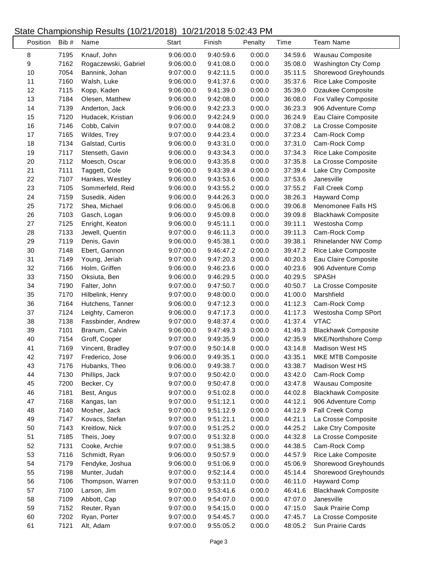| Position | Bib # | Name                 | Start     | Finish    | Penalty | Time    | <b>Team Name</b>           |
|----------|-------|----------------------|-----------|-----------|---------|---------|----------------------------|
| 8        | 7195  | Knauf, John          | 9:06:00.0 | 9:40:59.6 | 0:00.0  | 34:59.6 | Wausau Composite           |
| 9        | 7162  | Rogaczewski, Gabriel | 9:06:00.0 | 9:41:08.0 | 0:00.0  | 35:08.0 | Washington Cty Comp        |
| $10$     | 7054  | Bannink, Johan       | 9:07:00.0 | 9:42:11.5 | 0:00.0  | 35:11.5 | Shorewood Greyhounds       |
| 11       | 7160  | Walsh, Luke          | 9:06:00.0 | 9:41:37.6 | 0:00.0  | 35:37.6 | Rice Lake Composite        |
| 12       | 7115  | Kopp, Kaden          | 9:06:00.0 | 9:41:39.0 | 0:00.0  | 35:39.0 | Ozaukee Composite          |
| 13       | 7184  | Olesen, Matthew      | 9:06:00.0 | 9:42:08.0 | 0:00.0  | 36:08.0 | Fox Valley Composite       |
| 14       | 7139  | Anderton, Jack       | 9:06:00.0 | 9:42:23.3 | 0:00.0  | 36:23.3 | 906 Adventure Comp         |
| 15       | 7120  | Hudacek, Kristian    | 9:06:00.0 | 9:42:24.9 | 0:00.0  | 36:24.9 | Eau Claire Composite       |
| 16       | 7146  | Cobb, Calvin         | 9:07:00.0 | 9:44:08.2 | 0:00.0  | 37:08.2 | La Crosse Composite        |
| 17       | 7165  | Wildes, Trey         | 9:07:00.0 | 9:44:23.4 | 0:00.0  | 37:23.4 | Cam-Rock Comp              |
| 18       | 7134  | Galstad, Curtis      | 9:06:00.0 | 9:43:31.0 | 0:00.0  | 37:31.0 | Cam-Rock Comp              |
| 19       | 7117  | Stenseth, Gavin      | 9:06:00.0 | 9:43:34.3 | 0:00.0  | 37:34.3 | Rice Lake Composite        |
| 20       | 7112  | Moesch, Oscar        | 9:06:00.0 | 9:43:35.8 | 0:00.0  | 37:35.8 | La Crosse Composite        |
| 21       | 7111  | Taggett, Cole        | 9:06:00.0 | 9:43:39.4 | 0:00.0  | 37:39.4 | Lake Ctry Composite        |
| 22       | 7107  | Hankes, Westley      | 9:06:00.0 | 9:43:53.6 | 0:00.0  | 37:53.6 | Janesville                 |
| 23       | 7105  | Sommerfeld, Reid     | 9:06:00.0 | 9:43:55.2 | 0:00.0  | 37:55.2 | Fall Creek Comp            |
| 24       | 7159  | Susedik, Aiden       | 9:06:00.0 | 9:44:26.3 | 0:00.0  | 38:26.3 | Hayward Comp               |
| 25       | 7172  | Shea, Michael        | 9:06:00.0 | 9:45:06.8 | 0:00.0  | 39:06.8 | Menomonee Falls HS         |
| 26       | 7103  | Gasch, Logan         | 9:06:00.0 | 9:45:09.8 | 0:00.0  | 39:09.8 | <b>Blackhawk Composite</b> |
| 27       | 7125  | Enright, Keaton      | 9:06:00.0 | 9:45:11.1 | 0:00.0  | 39:11.1 | Westosha Comp              |
| 28       | 7133  | Jewell, Quentin      | 9:07:00.0 | 9:46:11.3 | 0:00.0  | 39:11.3 | Cam-Rock Comp              |
| 29       | 7119  | Denis, Gavin         | 9:06:00.0 | 9:45:38.1 | 0:00.0  | 39:38.1 | Rhinelander NW Comp        |
| 30       | 7148  | Ebert, Gannon        | 9:07:00.0 | 9:46:47.2 | 0:00.0  | 39:47.2 | Rice Lake Composite        |
| 31       | 7149  | Young, Jeriah        | 9:07:00.0 | 9:47:20.3 | 0:00.0  | 40:20.3 | Eau Claire Composite       |
| 32       | 7166  | Holm, Griffen        | 9:06:00.0 | 9:46:23.6 | 0:00.0  | 40:23.6 | 906 Adventure Comp         |
| 33       | 7150  | Oksiuta, Ben         | 9:06:00.0 | 9:46:29.5 | 0:00.0  | 40:29.5 | <b>SPASH</b>               |
| 34       | 7190  | Falter, John         | 9:07:00.0 | 9:47:50.7 | 0:00.0  | 40:50.7 | La Crosse Composite        |
| 35       | 7170  | Hilbelink, Henry     | 9:07:00.0 | 9:48:00.0 | 0:00.0  | 41:00.0 | Marshfield                 |
| 36       | 7164  | Hutchens, Tanner     | 9:06:00.0 | 9:47:12.3 | 0:00.0  | 41:12.3 | Cam-Rock Comp              |
| 37       | 7124  | Leighty, Cameron     | 9:06:00.0 | 9:47:17.3 | 0:00.0  | 41:17.3 | Westosha Comp SPort        |
| 38       | 7138  | Fassbinder, Andrew   | 9:07:00.0 | 9:48:37.4 | 0:00.0  | 41:37.4 | <b>VTAC</b>                |
| 39       | 7101  | Branum, Calvin       | 9:06:00.0 | 9:47:49.3 | 0:00.0  | 41:49.3 | <b>Blackhawk Composite</b> |
| 40       | 7154  | Groff, Cooper        | 9:07:00.0 | 9:49:35.9 | 0:00.0  | 42:35.9 | MKE/Northshore Comp        |
| 41       | 7169  | Vincent, Bradley     | 9:07:00.0 | 9:50:14.8 | 0:00.0  | 43:14.8 | Madison West HS            |
| 42       | 7197  | Frederico, Jose      | 9:06:00.0 | 9:49:35.1 | 0:00.0  | 43:35.1 | <b>MKE MTB Composite</b>   |
| 43       | 7176  | Hubanks, Theo        | 9:06:00.0 | 9:49:38.7 | 0:00.0  | 43:38.7 | Madison West HS            |
| 44       | 7130  | Phillips, Jack       | 9:07:00.0 | 9:50:42.0 | 0:00.0  | 43:42.0 | Cam-Rock Comp              |
| 45       | 7200  | Becker, Cy           | 9:07:00.0 | 9:50:47.8 | 0:00.0  | 43:47.8 | Wausau Composite           |
| 46       | 7181  | Best, Angus          | 9:07:00.0 | 9:51:02.8 | 0:00.0  | 44:02.8 | <b>Blackhawk Composite</b> |
| 47       | 7168  | Kangas, lan          | 9:07:00.0 | 9:51:12.1 | 0:00.0  | 44:12.1 | 906 Adventure Comp         |
| 48       | 7140  | Mosher, Jack         | 9:07:00.0 | 9:51:12.9 | 0:00.0  | 44:12.9 | Fall Creek Comp            |
| 49       | 7147  | Kovacs, Stefan       | 9:07:00.0 | 9:51:21.1 | 0:00.0  | 44:21.1 | La Crosse Composite        |
| 50       | 7143  | Kreitlow, Nick       | 9:07:00.0 | 9:51:25.2 | 0:00.0  | 44:25.2 | Lake Ctry Composite        |
| 51       | 7185  | Theis, Joey          | 9:07:00.0 | 9:51:32.8 | 0:00.0  | 44:32.8 | La Crosse Composite        |
| 52       | 7131  | Cooke, Archie        | 9:07:00.0 | 9:51:38.5 | 0:00.0  | 44:38.5 | Cam-Rock Comp              |
| 53       | 7116  | Schmidt, Ryan        | 9:06:00.0 | 9:50:57.9 | 0:00.0  | 44:57.9 | Rice Lake Composite        |
| 54       | 7179  | Fendyke, Joshua      | 9:06:00.0 | 9:51:06.9 | 0:00.0  | 45:06.9 | Shorewood Greyhounds       |
| 55       | 7198  | Munter, Judah        | 9:07:00.0 | 9:52:14.4 | 0:00.0  | 45:14.4 | Shorewood Greyhounds       |
| 56       | 7106  | Thompson, Warren     | 9:07:00.0 | 9:53:11.0 | 0:00.0  | 46:11.0 | <b>Hayward Comp</b>        |
| 57       | 7100  | Larson, Jim          | 9:07:00.0 | 9:53:41.6 | 0:00.0  | 46:41.6 | <b>Blackhawk Composite</b> |
| 58       | 7109  | Abbott, Cap          | 9:07:00.0 | 9:54:07.0 | 0:00.0  | 47:07.0 | Janesville                 |
| 59       | 7152  | Reuter, Ryan         | 9:07:00.0 | 9:54:15.0 | 0:00.0  | 47:15.0 | Sauk Prairie Comp          |
| 60       | 7202  | Ryan, Porter         | 9:07:00.0 | 9:54:45.7 | 0:00.0  | 47:45.7 | La Crosse Composite        |
| 61       | 7121  | Alt, Adam            | 9:07:00.0 | 9:55:05.2 | 0:00.0  | 48:05.2 | Sun Prairie Cards          |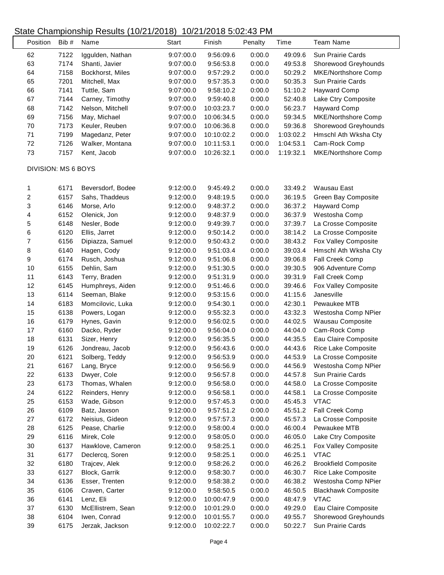| Position                | Bib # | Name              | <b>Start</b> | Finish     | Penalty | Time      | <b>Team Name</b>            |
|-------------------------|-------|-------------------|--------------|------------|---------|-----------|-----------------------------|
| 62                      | 7122  | Iggulden, Nathan  | 9:07:00.0    | 9:56:09.6  | 0:00.0  | 49:09.6   | Sun Prairie Cards           |
| 63                      | 7174  | Shanti, Javier    | 9:07:00.0    | 9:56:53.8  | 0:00.0  | 49:53.8   | Shorewood Greyhounds        |
| 64                      | 7158  | Bockhorst, Miles  | 9:07:00.0    | 9:57:29.2  | 0:00.0  | 50:29.2   | MKE/Northshore Comp         |
| 65                      | 7201  | Mitchell, Max     | 9:07:00.0    | 9:57:35.3  | 0:00.0  | 50:35.3   | Sun Prairie Cards           |
| 66                      | 7141  | Tuttle, Sam       | 9:07:00.0    | 9:58:10.2  | 0:00.0  | 51:10.2   | Hayward Comp                |
| 67                      | 7144  | Carney, Timothy   | 9:07:00.0    | 9:59:40.8  | 0:00.0  | 52:40.8   | Lake Ctry Composite         |
| 68                      | 7142  | Nelson, Mitchell  | 9:07:00.0    | 10:03:23.7 | 0:00.0  | 56:23.7   | <b>Hayward Comp</b>         |
| 69                      | 7156  | May, Michael      | 9:07:00.0    | 10:06:34.5 | 0:00.0  | 59:34.5   | MKE/Northshore Comp         |
| 70                      | 7173  | Keuler, Reuben    | 9:07:00.0    | 10:06:36.8 | 0:00.0  | 59:36.8   | Shorewood Greyhounds        |
| 71                      | 7199  | Magedanz, Peter   | 9:07:00.0    | 10:10:02.2 | 0:00.0  | 1:03:02.2 | Hmschl Ath Wksha Cty        |
| 72                      | 7126  | Walker, Montana   | 9:07:00.0    | 10:11:53.1 | 0:00.0  | 1:04:53.1 | Cam-Rock Comp               |
| 73                      | 7157  | Kent, Jacob       | 9:07:00.0    | 10:26:32.1 | 0:00.0  | 1:19:32.1 | MKE/Northshore Comp         |
| DIVISION: MS 6 BOYS     |       |                   |              |            |         |           |                             |
| 1                       | 6171  | Beversdorf, Bodee | 9:12:00.0    | 9:45:49.2  | 0:00.0  | 33:49.2   | Wausau East                 |
| $\overline{\mathbf{c}}$ | 6157  | Sahs, Thaddeus    | 9:12:00.0    | 9:48:19.5  | 0:00.0  | 36:19.5   | Green Bay Composite         |
| 3                       | 6146  | Morse, Arlo       | 9:12:00.0    | 9:48:37.2  | 0:00.0  | 36:37.2   | Hayward Comp                |
| 4                       | 6152  | Olenick, Jon      | 9:12:00.0    | 9:48:37.9  | 0:00.0  | 36:37.9   | Westosha Comp               |
| 5                       | 6148  | Nesler, Bode      | 9:12:00.0    | 9:49:39.7  | 0:00.0  | 37:39.7   | La Crosse Composite         |
| 6                       | 6120  | Ellis, Jarret     | 9:12:00.0    | 9:50:14.2  | 0:00.0  | 38:14.2   | La Crosse Composite         |
| $\overline{7}$          | 6156  | Dipiazza, Samuel  | 9:12:00.0    | 9:50:43.2  | 0:00.0  | 38:43.2   | Fox Valley Composite        |
| 8                       | 6140  | Hagen, Cody       | 9:12:00.0    | 9:51:03.4  | 0:00.0  | 39:03.4   | Hmschl Ath Wksha Cty        |
| 9                       | 6174  | Rusch, Joshua     | 9:12:00.0    | 9:51:06.8  | 0:00.0  | 39:06.8   | Fall Creek Comp             |
| 10                      | 6155  | Dehlin, Sam       | 9:12:00.0    | 9:51:30.5  | 0:00.0  | 39:30.5   | 906 Adventure Comp          |
| 11                      | 6143  | Terry, Braden     | 9:12:00.0    | 9:51:31.9  | 0:00.0  | 39:31.9   | Fall Creek Comp             |
| 12                      | 6145  | Humphreys, Aiden  | 9:12:00.0    | 9:51:46.6  | 0:00.0  | 39:46.6   | Fox Valley Composite        |
| 13                      | 6114  | Seeman, Blake     | 9:12:00.0    | 9:53:15.6  | 0:00.0  | 41:15.6   | Janesville                  |
| 14                      | 6183  | Momcilovic, Luka  | 9:12:00.0    | 9:54:30.1  | 0:00.0  | 42:30.1   | Pewaukee MTB                |
| 15                      | 6138  | Powers, Logan     | 9:12:00.0    | 9:55:32.3  | 0:00.0  | 43:32.3   | Westosha Comp NPier         |
| 16                      | 6179  | Hynes, Gavin      | 9:12:00.0    | 9:56:02.5  | 0:00.0  | 44:02.5   | Wausau Composite            |
| 17                      | 6160  | Dacko, Ryder      | 9:12:00.0    | 9:56:04.0  | 0:00.0  | 44:04.0   | Cam-Rock Comp               |
| 18                      | 6131  | Sizer, Henry      | 9:12:00.0    | 9:56:35.5  | 0:00.0  | 44:35.5   | Eau Claire Composite        |
| 19                      | 6126  | Jondreau, Jacob   | 9:12:00.0    | 9:56:43.6  | 0:00.0  | 44:43.6   | Rice Lake Composite         |
| 20                      | 6121  | Solberg, Teddy    | 9:12:00.0    | 9:56:53.9  | 0:00.0  | 44:53.9   | La Crosse Composite         |
| 21                      | 6167  | Lang, Bryce       | 9:12:00.0    | 9:56:56.9  | 0:00.0  | 44:56.9   | Westosha Comp NPier         |
| 22                      | 6133  | Dwyer, Cole       | 9:12:00.0    | 9:56:57.8  | 0:00.0  | 44:57.8   | Sun Prairie Cards           |
| 23                      | 6173  | Thomas, Whalen    | 9:12:00.0    | 9:56:58.0  | 0:00.0  | 44:58.0   | La Crosse Composite         |
| 24                      | 6122  | Reinders, Henry   | 9:12:00.0    | 9:56:58.1  | 0:00.0  | 44:58.1   | La Crosse Composite         |
| 25                      | 6153  | Wade, Gibson      | 9:12:00.0    | 9:57:45.3  | 0:00.0  | 45:45.3   | <b>VTAC</b>                 |
| 26                      | 6109  | Batz, Jaxson      | 9:12:00.0    | 9:57:51.2  | 0:00.0  | 45:51.2   | Fall Creek Comp             |
| 27                      | 6172  | Neisius, Gideon   | 9:12:00.0    | 9:57:57.3  | 0:00.0  | 45:57.3   | La Crosse Composite         |
| 28                      | 6125  | Pease, Charlie    | 9:12:00.0    | 9:58:00.4  | 0:00.0  | 46:00.4   | Pewaukee MTB                |
| 29                      | 6116  | Mirek, Cole       | 9:12:00.0    | 9:58:05.0  | 0:00.0  | 46:05.0   | Lake Ctry Composite         |
| $30\,$                  | 6137  | Hawklove, Cameron | 9:12:00.0    | 9:58:25.1  | 0:00.0  | 46:25.1   | Fox Valley Composite        |
| 31                      | 6177  | Declercq, Soren   | 9:12:00.0    | 9:58:25.1  | 0:00.0  | 46:25.1   | <b>VTAC</b>                 |
| 32                      | 6180  | Trajcev, Alek     | 9:12:00.0    | 9:58:26.2  | 0:00.0  | 46:26.2   | <b>Brookfield Composite</b> |
| 33                      | 6127  | Block, Garrik     | 9:12:00.0    | 9:58:30.7  | 0:00.0  | 46:30.7   | Rice Lake Composite         |
| 34                      | 6136  | Esser, Trenten    | 9:12:00.0    | 9:58:38.2  | 0:00.0  | 46:38.2   | Westosha Comp NPier         |
| 35                      | 6106  | Craven, Carter    | 9:12:00.0    | 9:58:50.5  | 0:00.0  | 46:50.5   | <b>Blackhawk Composite</b>  |
| 36                      | 6141  | Lenz, Eli         | 9:12:00.0    | 10:00:47.9 | 0:00.0  | 48:47.9   | <b>VTAC</b>                 |
| 37                      | 6130  | McEllistrem, Sean | 9:12:00.0    | 10:01:29.0 | 0:00.0  | 49:29.0   | Eau Claire Composite        |
| 38                      | 6104  | Iwen, Conrad      | 9:12:00.0    | 10:01:55.7 | 0:00.0  | 49:55.7   | Shorewood Greyhounds        |
| 39                      | 6175  | Jerzak, Jackson   | 9:12:00.0    | 10:02:22.7 | 0:00.0  | 50:22.7   | Sun Prairie Cards           |
|                         |       |                   |              |            |         |           |                             |